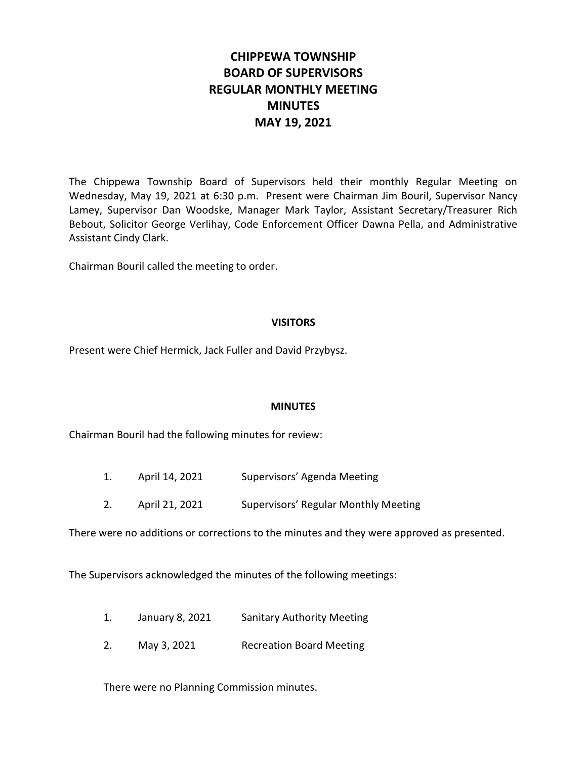# **CHIPPEWA TOWNSHIP BOARD OF SUPERVISORS REGULAR MONTHLY MEETING MINUTES MAY 19, 2021**

The Chippewa Township Board of Supervisors held their monthly Regular Meeting on Wednesday, May 19, 2021 at 6:30 p.m. Present were Chairman Jim Bouril, Supervisor Nancy Lamey, Supervisor Dan Woodske, Manager Mark Taylor, Assistant Secretary/Treasurer Rich Bebout, Solicitor George Verlihay, Code Enforcement Officer Dawna Pella, and Administrative Assistant Cindy Clark.

Chairman Bouril called the meeting to order.

#### **VISITORS**

Present were Chief Hermick, Jack Fuller and David Przybysz.

#### **MINUTES**

Chairman Bouril had the following minutes for review:

- 1. April 14, 2021 Supervisors' Agenda Meeting
- 2. April 21, 2021 Supervisors' Regular Monthly Meeting

There were no additions or corrections to the minutes and they were approved as presented.

The Supervisors acknowledged the minutes of the following meetings:

- 1. January 8, 2021 Sanitary Authority Meeting
- 2. May 3, 2021 Recreation Board Meeting

There were no Planning Commission minutes.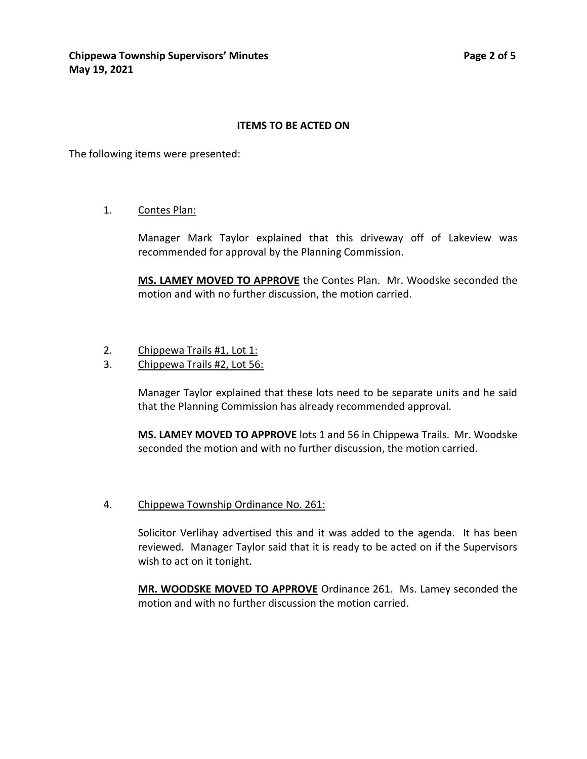#### **ITEMS TO BE ACTED ON**

The following items were presented:

1. Contes Plan:

Manager Mark Taylor explained that this driveway off of Lakeview was recommended for approval by the Planning Commission.

**MS. LAMEY MOVED TO APPROVE** the Contes Plan. Mr. Woodske seconded the motion and with no further discussion, the motion carried.

- 2. Chippewa Trails #1, Lot 1:
- 3. Chippewa Trails #2, Lot 56:

Manager Taylor explained that these lots need to be separate units and he said that the Planning Commission has already recommended approval.

**MS. LAMEY MOVED TO APPROVE** lots 1 and 56 in Chippewa Trails. Mr. Woodske seconded the motion and with no further discussion, the motion carried.

#### 4. Chippewa Township Ordinance No. 261:

Solicitor Verlihay advertised this and it was added to the agenda. It has been reviewed. Manager Taylor said that it is ready to be acted on if the Supervisors wish to act on it tonight.

**MR. WOODSKE MOVED TO APPROVE** Ordinance 261. Ms. Lamey seconded the motion and with no further discussion the motion carried.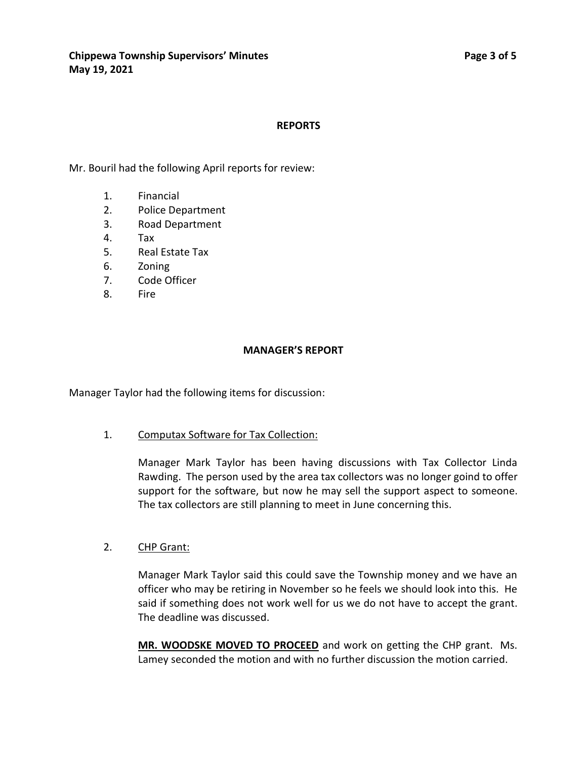#### **REPORTS**

Mr. Bouril had the following April reports for review:

- 1. Financial
- 2. Police Department
- 3. Road Department
- 4. Tax
- 5. Real Estate Tax
- 6. Zoning
- 7. Code Officer
- 8. Fire

#### **MANAGER'S REPORT**

Manager Taylor had the following items for discussion:

#### 1. Computax Software for Tax Collection:

Manager Mark Taylor has been having discussions with Tax Collector Linda Rawding. The person used by the area tax collectors was no longer goind to offer support for the software, but now he may sell the support aspect to someone. The tax collectors are still planning to meet in June concerning this.

#### 2. CHP Grant:

Manager Mark Taylor said this could save the Township money and we have an officer who may be retiring in November so he feels we should look into this. He said if something does not work well for us we do not have to accept the grant. The deadline was discussed.

**MR. WOODSKE MOVED TO PROCEED** and work on getting the CHP grant. Ms. Lamey seconded the motion and with no further discussion the motion carried.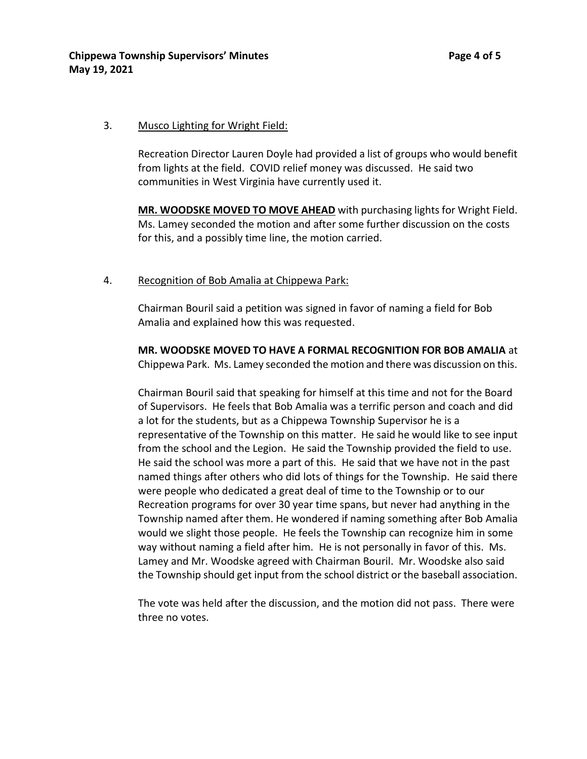#### 3. Musco Lighting for Wright Field:

Recreation Director Lauren Doyle had provided a list of groups who would benefit from lights at the field. COVID relief money was discussed. He said two communities in West Virginia have currently used it.

**MR. WOODSKE MOVED TO MOVE AHEAD** with purchasing lights for Wright Field. Ms. Lamey seconded the motion and after some further discussion on the costs for this, and a possibly time line, the motion carried.

## 4. Recognition of Bob Amalia at Chippewa Park:

Chairman Bouril said a petition was signed in favor of naming a field for Bob Amalia and explained how this was requested.

**MR. WOODSKE MOVED TO HAVE A FORMAL RECOGNITION FOR BOB AMALIA** at Chippewa Park. Ms. Lamey seconded the motion and there was discussion on this.

Chairman Bouril said that speaking for himself at this time and not for the Board of Supervisors. He feels that Bob Amalia was a terrific person and coach and did a lot for the students, but as a Chippewa Township Supervisor he is a representative of the Township on this matter. He said he would like to see input from the school and the Legion. He said the Township provided the field to use. He said the school was more a part of this. He said that we have not in the past named things after others who did lots of things for the Township. He said there were people who dedicated a great deal of time to the Township or to our Recreation programs for over 30 year time spans, but never had anything in the Township named after them. He wondered if naming something after Bob Amalia would we slight those people. He feels the Township can recognize him in some way without naming a field after him. He is not personally in favor of this. Ms. Lamey and Mr. Woodske agreed with Chairman Bouril. Mr. Woodske also said the Township should get input from the school district or the baseball association.

The vote was held after the discussion, and the motion did not pass. There were three no votes.